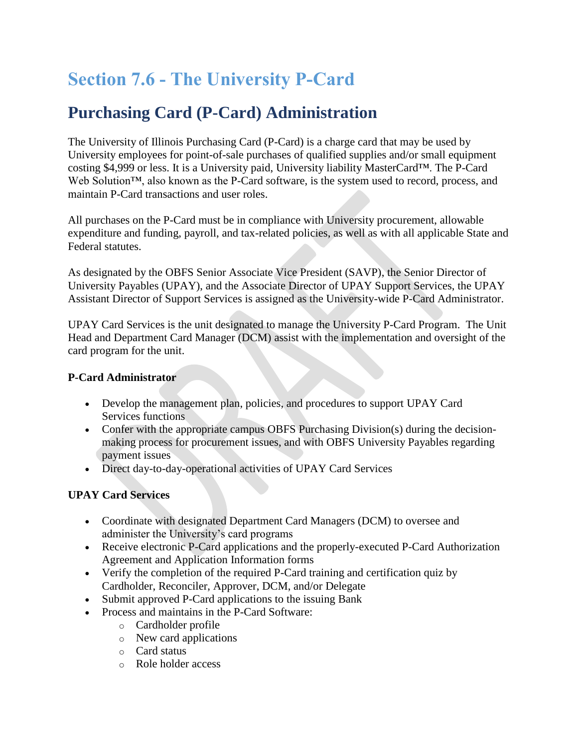# **Section 7.6 - The University P-Card**

# **Purchasing Card (P-Card) Administration**

The University of Illinois Purchasing Card (P-Card) is a charge card that may be used by University employees for point-of-sale purchases of qualified supplies and/or small equipment costing \$4,999 or less. It is a University paid, University liability MasterCard™. The P-Card Web Solution™, also known as the P-Card software, is the system used to record, process, and maintain P-Card transactions and user roles.

All purchases on the P-Card must be in compliance with University procurement, allowable expenditure and funding, payroll, and tax-related policies, as well as with all applicable State and Federal statutes.

As designated by the OBFS Senior Associate Vice President (SAVP), the Senior Director of University Payables (UPAY), and the Associate Director of UPAY Support Services, the UPAY Assistant Director of Support Services is assigned as the University-wide P-Card Administrator.

UPAY Card Services is the unit designated to manage the University P-Card Program. The Unit Head and Department Card Manager (DCM) assist with the implementation and oversight of the card program for the unit.

### **P-Card Administrator**

- Develop the management plan, policies, and procedures to support UPAY Card Services functions
- Confer with the appropriate campus OBFS Purchasing Division(s) during the decisionmaking process for procurement issues, and with OBFS University Payables regarding payment issues
- Direct day-to-day-operational activities of UPAY Card Services

### **UPAY Card Services**

- Coordinate with designated Department Card Managers (DCM) to oversee and administer the University's card programs
- Receive electronic P-Card applications and the properly-executed P-Card Authorization Agreement and Application Information forms
- Verify the completion of the required P-Card training and certification quiz by Cardholder, Reconciler, Approver, DCM, and/or Delegate
- Submit approved P-Card applications to the issuing Bank
- Process and maintains in the P-Card Software:
	- o Cardholder profile
	- o New card applications
	- o Card status
	- o Role holder access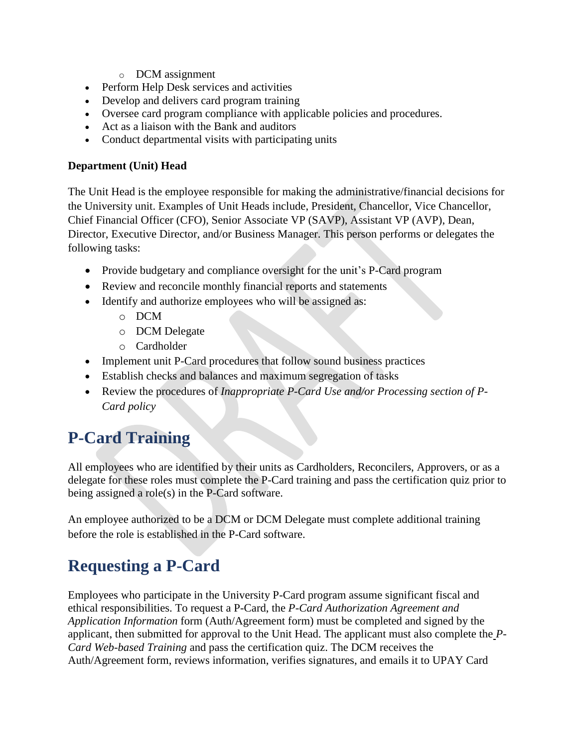- o DCM assignment
- Perform Help Desk services and activities
- Develop and delivers card program training
- Oversee card program compliance with applicable policies and procedures.
- Act as a liaison with the Bank and auditors
- Conduct departmental visits with participating units

#### **Department (Unit) Head**

The Unit Head is the employee responsible for making the administrative/financial decisions for the University unit. Examples of Unit Heads include, President, Chancellor, Vice Chancellor, Chief Financial Officer (CFO), Senior Associate VP (SAVP), Assistant VP (AVP), Dean, Director, Executive Director, and/or Business Manager. This person performs or delegates the following tasks:

- Provide budgetary and compliance oversight for the unit's P-Card program
- Review and reconcile monthly financial reports and statements
- Identify and authorize employees who will be assigned as:
	- o DCM
	- o DCM Delegate
	- o Cardholder
- Implement unit P-Card procedures that follow sound business practices
- Establish checks and balances and maximum segregation of tasks
- Review the procedures of *Inappropriate P-Card Use and/or Processing section of P-Card policy*

# **P-Card Training**

All employees who are identified by their units as Cardholders, Reconcilers, Approvers, or as a delegate for these roles must complete the P-Card training and pass the certification quiz prior to being assigned a role(s) in the P-Card software.

An employee authorized to be a DCM or DCM Delegate must complete additional training before the role is established in the P-Card software.

# **Requesting a P-Card**

Employees who participate in the University P-Card program assume significant fiscal and ethical responsibilities. To request a P-Card, the *P-Card Authorization Agreement and Application Information* form (Auth/Agreement form) must be completed and signed by the applicant, then submitted for approval to the Unit Head. The applicant must also complete the *P-Card Web-based Training* and pass the certification quiz. The DCM receives the Auth/Agreement form, reviews information, verifies signatures, and emails it to UPAY Card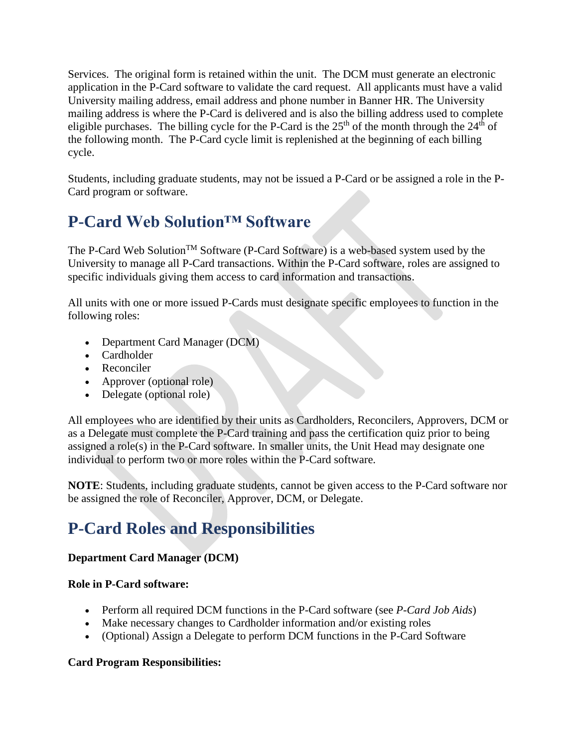Services. The original form is retained within the unit. The DCM must generate an electronic application in the P-Card software to validate the card request. All applicants must have a valid University mailing address, email address and phone number in Banner HR. The University mailing address is where the P-Card is delivered and is also the billing address used to complete eligible purchases. The billing cycle for the P-Card is the  $25<sup>th</sup>$  of the month through the  $24<sup>th</sup>$  of the following month. The P-Card cycle limit is replenished at the beginning of each billing cycle.

Students, including graduate students, may not be issued a P-Card or be assigned a role in the P-Card program or software.

### **P-Card Web Solution™ Software**

The P-Card Web Solution<sup>TM</sup> Software (P-Card Software) is a web-based system used by the University to manage all P-Card transactions. Within the P-Card software, roles are assigned to specific individuals giving them access to card information and transactions.

All units with one or more issued P-Cards must designate specific employees to function in the following roles:

- Department Card Manager (DCM)
- Cardholder
- Reconciler
- Approver (optional role)
- Delegate (optional role)

All employees who are identified by their units as Cardholders, Reconcilers, Approvers, DCM or as a Delegate must complete the P-Card training and pass the certification quiz prior to being assigned a role(s) in the P-Card software. In smaller units, the Unit Head may designate one individual to perform two or more roles within the P-Card software.

**NOTE**: Students, including graduate students, cannot be given access to the P-Card software nor be assigned the role of Reconciler, Approver, DCM, or Delegate.

# **P-Card Roles and Responsibilities**

### **Department Card Manager (DCM)**

#### **Role in P-Card software:**

- Perform all required DCM functions in the P-Card software (see *P-Card Job Aids*)
- Make necessary changes to Cardholder information and/or existing roles
- (Optional) Assign a Delegate to perform DCM functions in the P-Card Software

#### **Card Program Responsibilities:**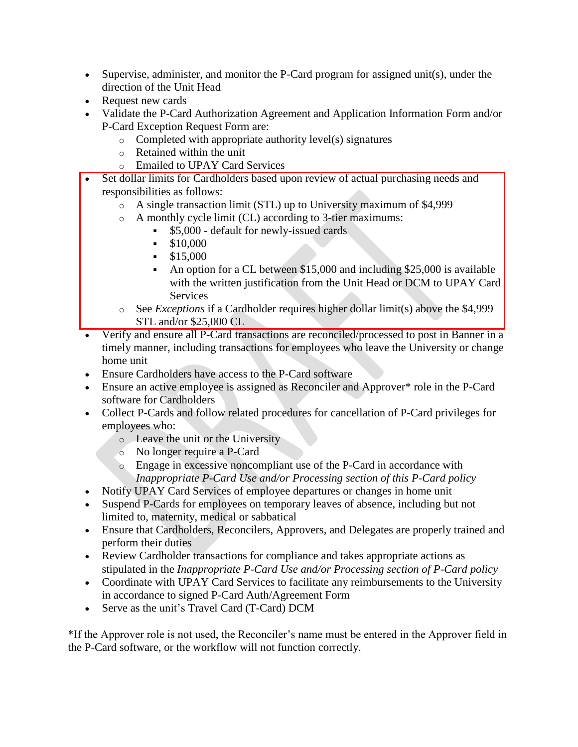- Supervise, administer, and monitor the P-Card program for assigned unit(s), under the direction of the Unit Head
- Request new cards
- Validate the P-Card Authorization Agreement and Application Information Form and/or P-Card Exception Request Form are:
	- o Completed with appropriate authority level(s) signatures
	- o Retained within the unit
	- o Emailed to UPAY Card Services
- Set dollar limits for Cardholders based upon review of actual purchasing needs and responsibilities as follows:
	- o A single transaction limit (STL) up to University maximum of \$4,999
	- o A monthly cycle limit (CL) according to 3-tier maximums:
		- \$5,000 default for newly-issued cards
		- $\cdot$  \$10,000
		- $\cdot$  \$15,000
		- An option for a CL between \$15,000 and including \$25,000 is available with the written justification from the Unit Head or DCM to UPAY Card **Services**
	- o See *Exceptions* if a Cardholder requires higher dollar limit(s) above the \$4,999 STL and/or \$25,000 CL
- Verify and ensure all P-Card transactions are reconciled/processed to post in Banner in a timely manner, including transactions for employees who leave the University or change home unit
- Ensure Cardholders have access to the P-Card software
- Ensure an active employee is assigned as Reconciler and Approver\* role in the P-Card software for Cardholders
- Collect P-Cards and follow related procedures for cancellation of P-Card privileges for employees who:
	- o Leave the unit or the University
	- o No longer require a P-Card
	- o Engage in excessive noncompliant use of the P-Card in accordance with *Inappropriate P-Card Use and/or Processing section of this P-Card policy*
- Notify UPAY Card Services of employee departures or changes in home unit
- Suspend P-Cards for employees on temporary leaves of absence, including but not limited to, maternity, medical or sabbatical
- Ensure that Cardholders, Reconcilers, Approvers, and Delegates are properly trained and perform their duties
- Review Cardholder transactions for compliance and takes appropriate actions as stipulated in the *Inappropriate P-Card Use and/or Processing section of P-Card policy*
- Coordinate with UPAY Card Services to facilitate any reimbursements to the University in accordance to signed P-Card Auth/Agreement Form
- Serve as the unit's Travel Card (T-Card) DCM

\*If the Approver role is not used, the Reconciler's name must be entered in the Approver field in the P-Card software, or the workflow will not function correctly.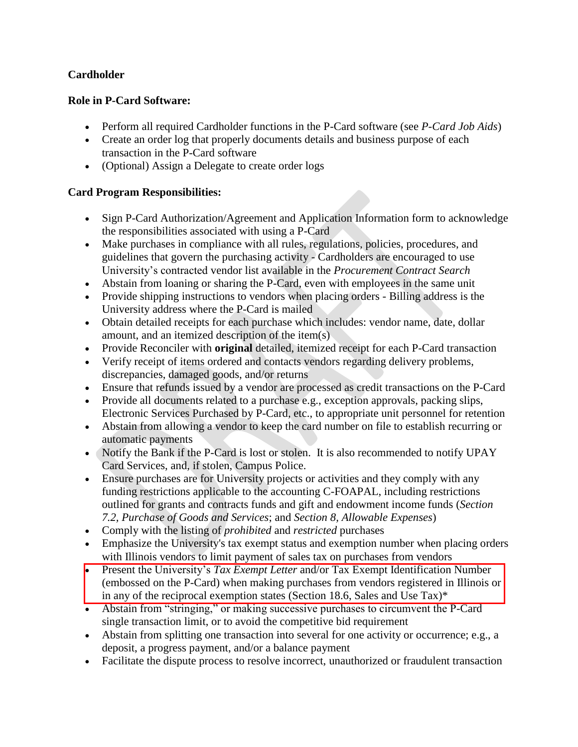### **Cardholder**

### **Role in P-Card Software:**

- Perform all required Cardholder functions in the P-Card software (see *P-Card Job Aids*)
- Create an order log that properly documents details and business purpose of each transaction in the P-Card software
- (Optional) Assign a Delegate to create order logs

#### **Card Program Responsibilities:**

- Sign P-Card Authorization/Agreement and Application Information form to acknowledge the responsibilities associated with using a P-Card
- Make purchases in compliance with all rules, regulations, policies, procedures, and guidelines that govern the purchasing activity - Cardholders are encouraged to use University's contracted vendor list available in the *Procurement Contract Search*
- Abstain from loaning or sharing the P-Card, even with employees in the same unit
- Provide shipping instructions to vendors when placing orders Billing address is the University address where the P-Card is mailed
- Obtain detailed receipts for each purchase which includes: vendor name, date, dollar amount, and an itemized description of the item(s)
- Provide Reconciler with **original** detailed, itemized receipt for each P-Card transaction
- Verify receipt of items ordered and contacts vendors regarding delivery problems, discrepancies, damaged goods, and/or returns
- Ensure that refunds issued by a vendor are processed as credit transactions on the P-Card
- Provide all documents related to a purchase e.g., exception approvals, packing slips, Electronic Services Purchased by P-Card, etc., to appropriate unit personnel for retention
- Abstain from allowing a vendor to keep the card number on file to establish recurring or automatic payments
- Notify the Bank if the P-Card is lost or stolen. It is also recommended to notify UPAY Card Services, and, if stolen, Campus Police.
- Ensure purchases are for University projects or activities and they comply with any funding restrictions applicable to the accounting C-FOAPAL, including restrictions outlined for grants and contracts funds and gift and endowment income funds (*Section 7.2, Purchase of Goods and Services*; and *Section 8, Allowable Expenses*)
- Comply with the listing of *prohibited* and *restricted* purchases
- Emphasize the University's tax exempt status and exemption number when placing orders with Illinois vendors to limit payment of sales tax on purchases from vendors
- Present the University's *Tax Exempt Letter* and/or Tax Exempt Identification Number (embossed on the P-Card) when making purchases from vendors registered in Illinois or in any of the reciprocal exemption states [\(Section 18.6, Sales and Use Tax\)\\*](https://www.obfs.uillinois.edu/bfpp/section-18-taxes/section-18-6)
- Abstain from "stringing," or making successive purchases to circumvent the P-Card single transaction limit, or to avoid the competitive bid requirement
- Abstain from splitting one transaction into several for one activity or occurrence; e.g., a deposit, a progress payment, and/or a balance payment
- Facilitate the dispute process to resolve incorrect, unauthorized or fraudulent transaction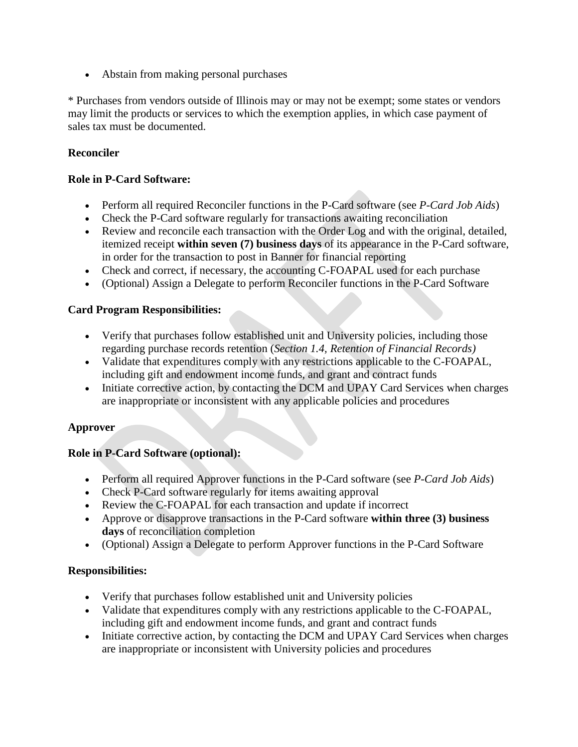Abstain from making personal purchases

\* Purchases from vendors outside of Illinois may or may not be exempt; some states or vendors may limit the products or services to which the exemption applies, in which case payment of sales tax must be documented.

#### **Reconciler**

#### **Role in P-Card Software:**

- Perform all required Reconciler functions in the P-Card software (see *P-Card Job Aids*)
- Check the P-Card software regularly for transactions awaiting reconciliation
- Review and reconcile each transaction with the Order Log and with the original, detailed, itemized receipt **within seven (7) business days** of its appearance in the P-Card software, in order for the transaction to post in Banner for financial reporting
- Check and correct, if necessary, the accounting C-FOAPAL used for each purchase
- (Optional) Assign a Delegate to perform Reconciler functions in the P-Card Software

#### **Card Program Responsibilities:**

- Verify that purchases follow established unit and University policies, including those regarding purchase records retention (*Section 1.4, Retention of Financial Records)*
- Validate that expenditures comply with any restrictions applicable to the C-FOAPAL, including gift and endowment income funds, and grant and contract funds
- Initiate corrective action, by contacting the DCM and UPAY Card Services when charges are inappropriate or inconsistent with any applicable policies and procedures

#### **Approver**

#### **Role in P-Card Software (optional):**

- Perform all required Approver functions in the P-Card software (see *P-Card Job Aids*)
- Check P-Card software regularly for items awaiting approval
- Review the C-FOAPAL for each transaction and update if incorrect
- Approve or disapprove transactions in the P-Card software **within three (3) business days** of reconciliation completion
- (Optional) Assign a Delegate to perform Approver functions in the P-Card Software

### **Responsibilities:**

- Verify that purchases follow established unit and University policies
- Validate that expenditures comply with any restrictions applicable to the C-FOAPAL, including gift and endowment income funds, and grant and contract funds
- Initiate corrective action, by contacting the DCM and UPAY Card Services when charges are inappropriate or inconsistent with University policies and procedures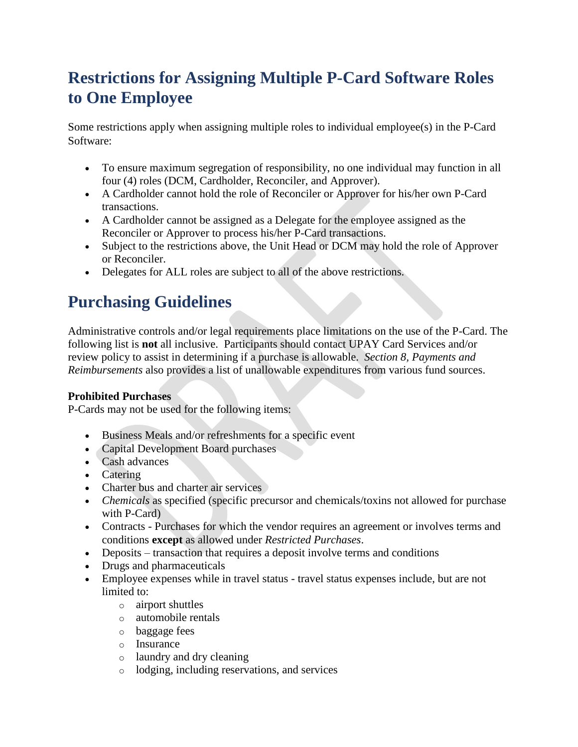# **Restrictions for Assigning Multiple P-Card Software Roles to One Employee**

Some restrictions apply when assigning multiple roles to individual employee(s) in the P-Card Software:

- To ensure maximum segregation of responsibility, no one individual may function in all four (4) roles (DCM, Cardholder, Reconciler, and Approver).
- A Cardholder cannot hold the role of Reconciler or Approver for his/her own P-Card transactions.
- A Cardholder cannot be assigned as a Delegate for the employee assigned as the Reconciler or Approver to process his/her P-Card transactions.
- Subject to the restrictions above, the Unit Head or DCM may hold the role of Approver or Reconciler.
- Delegates for ALL roles are subject to all of the above restrictions.

### **Purchasing Guidelines**

Administrative controls and/or legal requirements place limitations on the use of the P-Card. The following list is **not** all inclusive. Participants should contact UPAY Card Services and/or review policy to assist in determining if a purchase is allowable. *Section 8, Payments and Reimbursements* also provides a list of unallowable expenditures from various fund sources.

### **Prohibited Purchases**

P-Cards may not be used for the following items:

- Business Meals and/or refreshments for a specific event
- Capital Development Board purchases
- Cash advances
- Catering
- Charter bus and charter air services
- *Chemicals* as specified (specific precursor and chemicals/toxins not allowed for purchase with P-Card)
- Contracts Purchases for which the vendor requires an agreement or involves terms and conditions **except** as allowed under *Restricted Purchases*.
- Deposits transaction that requires a deposit involve terms and conditions
- Drugs and pharmaceuticals
- Employee expenses while in travel status travel status expenses include, but are not limited to:
	- o airport shuttles
	- o automobile rentals
	- o baggage fees
	- o Insurance
	- o laundry and dry cleaning
	- o lodging, including reservations, and services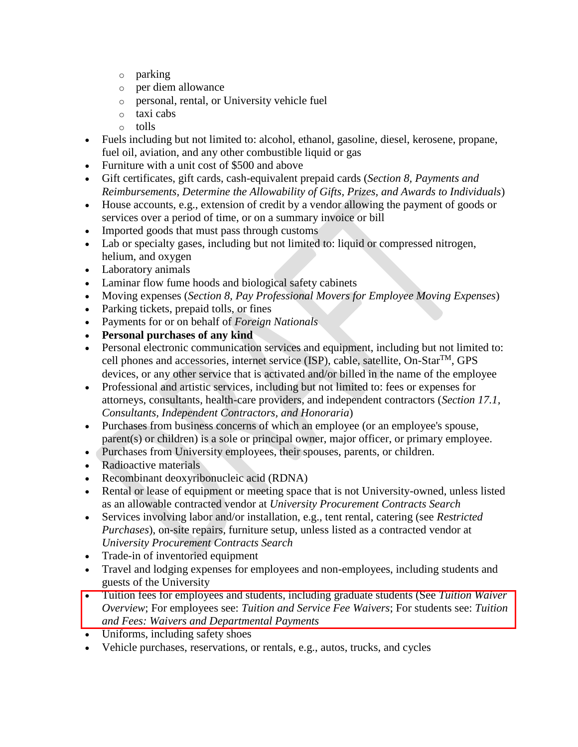- o parking
- o per diem allowance
- o personal, rental, or University vehicle fuel
- o taxi cabs
- o tolls
- Fuels including but not limited to: alcohol, ethanol, gasoline, diesel, kerosene, propane, fuel oil, aviation, and any other combustible liquid or gas
- Furniture with a unit cost of \$500 and above
- Gift certificates, gift cards, cash-equivalent prepaid cards (*Section 8, Payments and Reimbursements, Determine the Allowability of Gifts, Prizes, and Awards to Individuals*)
- House accounts, e.g., extension of credit by a vendor allowing the payment of goods or services over a period of time, or on a summary invoice or bill
- Imported goods that must pass through customs
- Lab or specialty gases, including but not limited to: liquid or compressed nitrogen, helium, and oxygen
- Laboratory animals
- Laminar flow fume hoods and biological safety cabinets
- Moving expenses (*Section 8, Pay Professional Movers for Employee Moving Expenses*)
- Parking tickets, prepaid tolls, or fines
- Payments for or on behalf of *Foreign Nationals*
- **Personal purchases of any kind**
- Personal electronic communication services and equipment, including but not limited to: cell phones and accessories, internet service (ISP), cable, satellite,  $On - Star^{TM}$ , GPS devices, or any other service that is activated and/or billed in the name of the employee
- Professional and artistic services, including but not limited to: fees or expenses for attorneys, consultants, health-care providers, and independent contractors (*Section 17.1, Consultants, Independent Contractors, and Honoraria*)
- Purchases from business concerns of which an employee (or an employee's spouse, parent(s) or children) is a sole or principal owner, major officer, or primary employee.
- Purchases from University employees, their spouses, parents, or children.
- Radioactive materials
- Recombinant deoxyribonucleic acid (RDNA)
- Rental or lease of equipment or meeting space that is not University-owned, unless listed as an allowable contracted vendor at *University Procurement Contracts Search*
- Services involving labor and/or installation, e.g., tent rental, catering (see *Restricted Purchases*), on-site repairs, furniture setup, unless listed as a contracted vendor at *University Procurement Contracts Search*
- Trade-in of inventoried equipment
- Travel and lodging expenses for employees and non-employees, including students and guests of the University
- Tuition fees for employees and students, including graduate students (See *Tuition Waiver Overview*; For employees see: *Tuition and Service Fee Waivers*; For students see: *Tuition and Fees: Waivers and Departmental Payments*
- Uniforms, including safety shoes
- Vehicle purchases, reservations, or rentals, e.g., autos, trucks, and cycles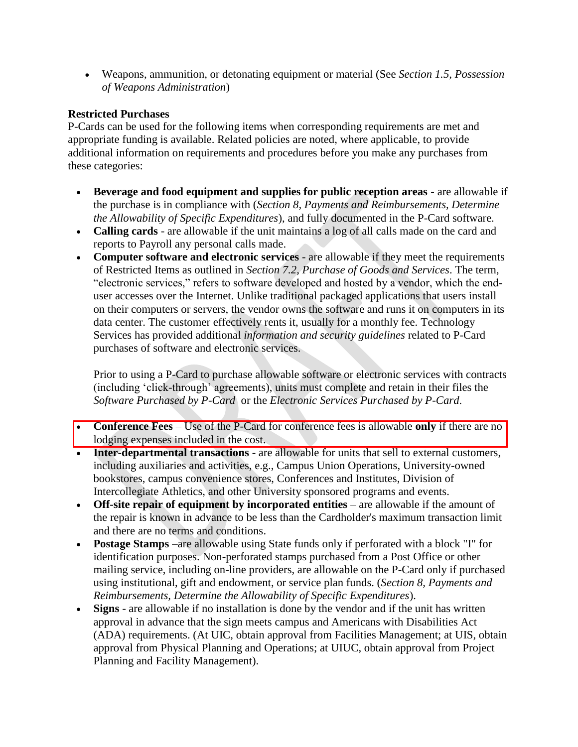Weapons, ammunition, or detonating equipment or material (See *Section 1.5, Possession of Weapons Administration*)

#### **Restricted Purchases**

P-Cards can be used for the following items when corresponding requirements are met and appropriate funding is available. Related policies are noted, where applicable, to provide additional information on requirements and procedures before you make any purchases from these categories:

- **Beverage and food equipment and supplies for public reception areas** are allowable if the purchase is in compliance with (*Section 8, Payments and Reimbursements, Determine the Allowability of Specific Expenditures*), and fully documented in the P-Card software.
- **Calling cards**  are allowable if the unit maintains a log of all calls made on the card and reports to Payroll any personal calls made.
- **Computer software and electronic services** are allowable if they meet the requirements of Restricted Items as outlined in *Section 7.2, Purchase of Goods and Services*. The term, "electronic services," refers to software developed and hosted by a vendor, which the enduser accesses over the Internet. Unlike traditional packaged applications that users install on their computers or servers, the vendor owns the software and runs it on computers in its data center. The customer effectively rents it, usually for a monthly fee. Technology Services has provided additional *information and security guidelines* related to P-Card purchases of software and electronic services.

Prior to using a P-Card to purchase allowable software or electronic services with contracts (including 'click-through' agreements), units must complete and retain in their files the *Software Purchased by P-Card* or the *Electronic Services Purchased by P-Card*.

- **Conference Fees** Use of the P-Card for conference fees is allowable **only** if there are no lodging expenses included in the cost.
- **Inter-departmental transactions** are allowable for units that sell to external customers, including auxiliaries and activities, e.g., Campus Union Operations, University-owned bookstores, campus convenience stores, Conferences and Institutes, Division of Intercollegiate Athletics, and other University sponsored programs and events.
- **Off-site repair of equipment by incorporated entities** are allowable if the amount of the repair is known in advance to be less than the Cardholder's maximum transaction limit and there are no terms and conditions.
- **Postage Stamps** –are allowable using State funds only if perforated with a block "I" for identification purposes. Non-perforated stamps purchased from a Post Office or other mailing service, including on-line providers, are allowable on the P-Card only if purchased using institutional, gift and endowment, or service plan funds. (*Section 8, Payments and Reimbursements, Determine the Allowability of Specific Expenditures*).
- **Signs** are allowable if no installation is done by the vendor and if the unit has written approval in advance that the sign meets campus and Americans with Disabilities Act (ADA) requirements. (At UIC, obtain approval from Facilities Management; at UIS, obtain approval from Physical Planning and Operations; at UIUC, obtain approval from Project Planning and Facility Management).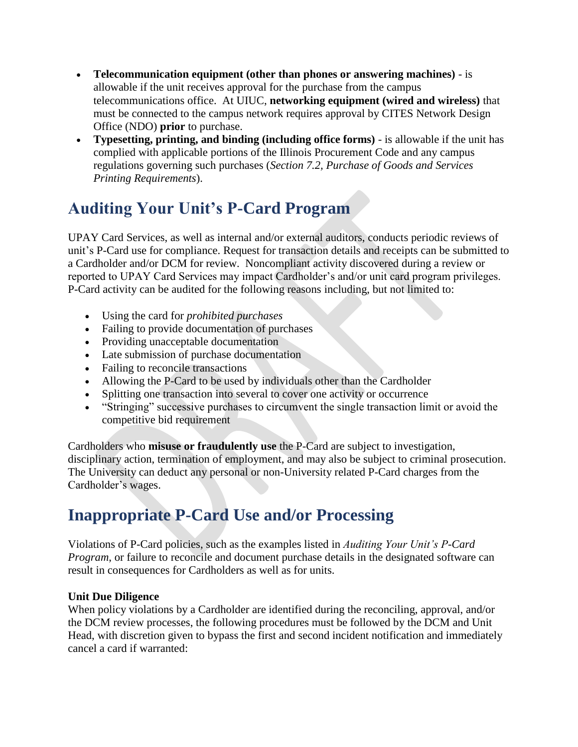- **Telecommunication equipment (other than phones or answering machines)** is allowable if the unit receives approval for the purchase from the campus telecommunications office. At UIUC, **networking equipment (wired and wireless)** that must be connected to the campus network requires approval by CITES Network Design Office (NDO) **prior** to purchase.
- **Typesetting, printing, and binding (including office forms)** is allowable if the unit has complied with applicable portions of the Illinois Procurement Code and any campus regulations governing such purchases (*Section 7.2, Purchase of Goods and Services Printing Requirements*).

# **Auditing Your Unit's P-Card Program**

UPAY Card Services, as well as internal and/or external auditors, conducts periodic reviews of unit's P-Card use for compliance. Request for transaction details and receipts can be submitted to a Cardholder and/or DCM for review. Noncompliant activity discovered during a review or reported to UPAY Card Services may impact Cardholder's and/or unit card program privileges. P-Card activity can be audited for the following reasons including, but not limited to:

- Using the card for *prohibited purchases*
- Failing to provide documentation of purchases
- Providing unacceptable documentation
- Late submission of purchase documentation
- Failing to reconcile transactions
- Allowing the P-Card to be used by individuals other than the Cardholder
- Splitting one transaction into several to cover one activity or occurrence
- "Stringing" successive purchases to circumvent the single transaction limit or avoid the competitive bid requirement

Cardholders who **misuse or fraudulently use** the P-Card are subject to investigation, disciplinary action, termination of employment, and may also be subject to criminal prosecution. The University can deduct any personal or non-University related P-Card charges from the Cardholder's wages.

### **Inappropriate P-Card Use and/or Processing**

Violations of P-Card policies, such as the examples listed in *Auditing Your Unit's P-Card Program*, or failure to reconcile and document purchase details in the designated software can result in consequences for Cardholders as well as for units.

#### **Unit Due Diligence**

When policy violations by a Cardholder are identified during the reconciling, approval, and/or the DCM review processes, the following procedures must be followed by the DCM and Unit Head, with discretion given to bypass the first and second incident notification and immediately cancel a card if warranted: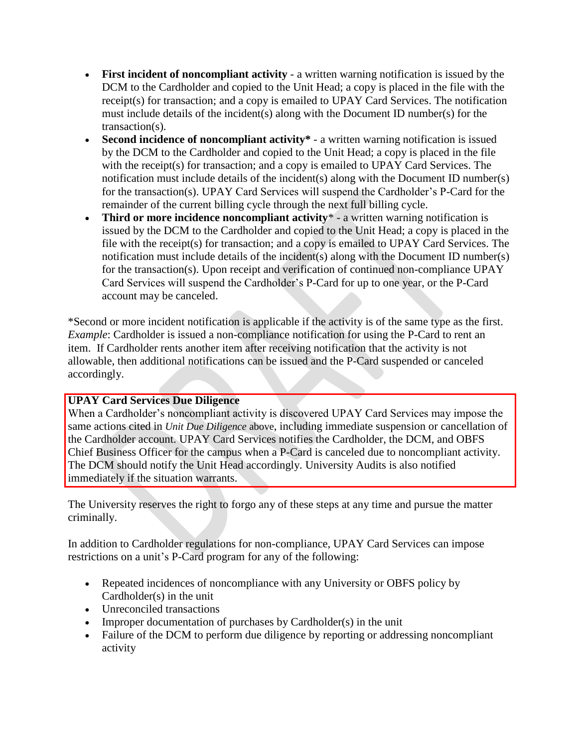- **First incident of noncompliant activity** a written warning notification is issued by the DCM to the Cardholder and copied to the Unit Head; a copy is placed in the file with the receipt(s) for transaction; and a copy is emailed to UPAY Card Services. The notification must include details of the incident(s) along with the Document ID number(s) for the transaction(s).
- **Second incidence of noncompliant activity\*** a written warning notification is issued by the DCM to the Cardholder and copied to the Unit Head; a copy is placed in the file with the receipt(s) for transaction; and a copy is emailed to UPAY Card Services. The notification must include details of the incident(s) along with the Document ID number(s) for the transaction(s). UPAY Card Services will suspend the Cardholder's P-Card for the remainder of the current billing cycle through the next full billing cycle.
- **Third or more incidence noncompliant activity**\* a written warning notification is issued by the DCM to the Cardholder and copied to the Unit Head; a copy is placed in the file with the receipt(s) for transaction; and a copy is emailed to UPAY Card Services. The notification must include details of the incident(s) along with the Document ID number(s) for the transaction(s). Upon receipt and verification of continued non-compliance UPAY Card Services will suspend the Cardholder's P-Card for up to one year, or the P-Card account may be canceled.

\*Second or more incident notification is applicable if the activity is of the same type as the first. *Example*: Cardholder is issued a non-compliance notification for using the P-Card to rent an item. If Cardholder rents another item after receiving notification that the activity is not allowable, then additional notifications can be issued and the P-Card suspended or canceled accordingly.

#### **UPAY Card Services Due Diligence**

When a Cardholder's noncompliant activity is discovered UPAY Card Services may impose the same actions cited in *Unit Due Diligence* above, including immediate suspension or cancellation of the Cardholder account. UPAY Card Services notifies the Cardholder, the DCM, and OBFS Chief Business Officer for the campus when a P-Card is canceled due to noncompliant activity. The DCM should notify the Unit Head accordingly. University Audits is also notified immediately if the situation warrants.

The University reserves the right to forgo any of these steps at any time and pursue the matter criminally.

In addition to Cardholder regulations for non-compliance, UPAY Card Services can impose restrictions on a unit's P-Card program for any of the following:

- Repeated incidences of noncompliance with any University or OBFS policy by Cardholder(s) in the unit
- Unreconciled transactions
- Improper documentation of purchases by Cardholder(s) in the unit
- Failure of the DCM to perform due diligence by reporting or addressing noncompliant activity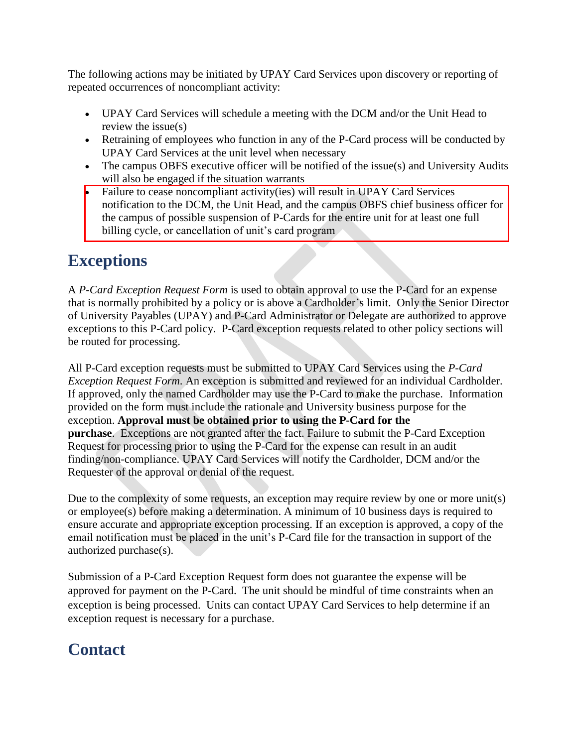The following actions may be initiated by UPAY Card Services upon discovery or reporting of repeated occurrences of noncompliant activity:

- UPAY Card Services will schedule a meeting with the DCM and/or the Unit Head to review the issue(s)
- Retraining of employees who function in any of the P-Card process will be conducted by UPAY Card Services at the unit level when necessary
- The campus OBFS executive officer will be notified of the issue(s) and University Audits will also be engaged if the situation warrants
- Failure to cease noncompliant activity(ies) will result in UPAY Card Services notification to the DCM, the Unit Head, and the campus OBFS chief business officer for the campus of possible suspension of P-Cards for the entire unit for at least one full billing cycle, or cancellation of unit's card program

### **Exceptions**

A *P-Card Exception Request Form* is used to obtain approval to use the P-Card for an expense that is normally prohibited by a policy or is above a Cardholder's limit. Only the Senior Director of University Payables (UPAY) and P-Card Administrator or Delegate are authorized to approve exceptions to this P-Card policy. P-Card exception requests related to other policy sections will be routed for processing.

All P-Card exception requests must be submitted to UPAY Card Services using the *P-Card Exception Request Form*. An exception is submitted and reviewed for an individual Cardholder. If approved, only the named Cardholder may use the P-Card to make the purchase. Information provided on the form must include the rationale and University business purpose for the exception. **Approval must be obtained prior to using the P-Card for the purchase**. Exceptions are not granted after the fact. Failure to submit the P-Card Exception Request for processing prior to using the P-Card for the expense can result in an audit finding/non-compliance. UPAY Card Services will notify the Cardholder, DCM and/or the Requester of the approval or denial of the request.

Due to the complexity of some requests, an exception may require review by one or more unit(s) or employee(s) before making a determination. A minimum of 10 business days is required to ensure accurate and appropriate exception processing. If an exception is approved, a copy of the email notification must be placed in the unit's P-Card file for the transaction in support of the authorized purchase(s).

Submission of a P-Card Exception Request form does not guarantee the expense will be approved for payment on the P-Card. The unit should be mindful of time constraints when an exception is being processed. Units can contact UPAY Card Services to help determine if an exception request is necessary for a purchase.

# **Contact**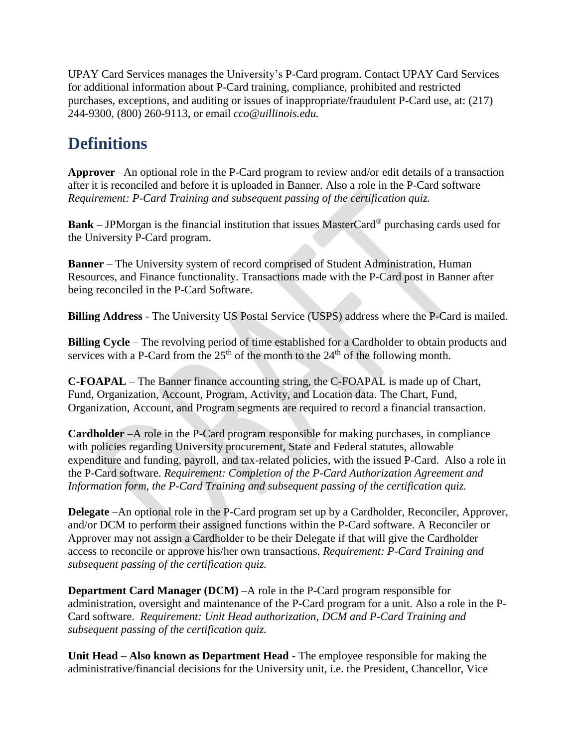UPAY Card Services manages the University's P-Card program. Contact UPAY Card Services for additional information about P-Card training, compliance, prohibited and restricted purchases, exceptions, and auditing or issues of inappropriate/fraudulent P-Card use, at: (217) 244-9300, (800) 260-9113, or email *cco@uillinois.edu.*

### **Definitions**

**Approver** –An optional role in the P-Card program to review and/or edit details of a transaction after it is reconciled and before it is uploaded in Banner. Also a role in the P-Card software *Requirement: P-Card Training and subsequent passing of the certification quiz.* 

**Bank** – JPMorgan is the financial institution that issues MasterCard® purchasing cards used for the University P-Card program.

**Banner** – The University system of record comprised of Student Administration, Human Resources, and Finance functionality. Transactions made with the P-Card post in Banner after being reconciled in the P-Card Software.

**Billing Address** - The University US Postal Service (USPS) address where the P-Card is mailed.

**Billing Cycle** – The revolving period of time established for a Cardholder to obtain products and services with a P-Card from the  $25<sup>th</sup>$  of the month to the  $24<sup>th</sup>$  of the following month.

**C-FOAPAL** – The Banner finance accounting string, the C-FOAPAL is made up of Chart, Fund, Organization, Account, Program, Activity, and Location data. The Chart, Fund, Organization, Account, and Program segments are required to record a financial transaction.

**Cardholder** –A role in the P-Card program responsible for making purchases, in compliance with policies regarding University procurement, State and Federal statutes, allowable expenditure and funding, payroll, and tax-related policies, with the issued P-Card. Also a role in the P-Card software. *Requirement: Completion of the P-Card Authorization Agreement and Information form, the P-Card Training and subsequent passing of the certification quiz.* 

**Delegate** –An optional role in the P-Card program set up by a Cardholder, Reconciler, Approver, and/or DCM to perform their assigned functions within the P-Card software. A Reconciler or Approver may not assign a Cardholder to be their Delegate if that will give the Cardholder access to reconcile or approve his/her own transactions. *Requirement: P-Card Training and subsequent passing of the certification quiz.*

**Department Card Manager (DCM)** –A role in the P-Card program responsible for administration, oversight and maintenance of the P-Card program for a unit. Also a role in the P-Card software. *Requirement: Unit Head authorization, DCM and P-Card Training and subsequent passing of the certification quiz.*

**Unit Head – Also known as Department Head -** The employee responsible for making the administrative/financial decisions for the University unit, i.e. the President, Chancellor, Vice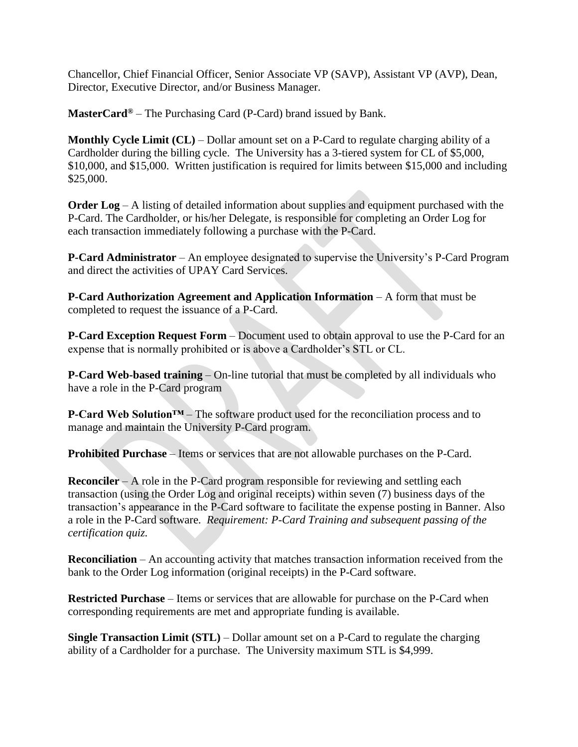Chancellor, Chief Financial Officer, Senior Associate VP (SAVP), Assistant VP (AVP), Dean, Director, Executive Director, and/or Business Manager.

**MasterCard®** – The Purchasing Card (P-Card) brand issued by Bank.

**Monthly Cycle Limit (CL)** – Dollar amount set on a P-Card to regulate charging ability of a Cardholder during the billing cycle. The University has a 3-tiered system for CL of \$5,000, \$10,000, and \$15,000. Written justification is required for limits between \$15,000 and including \$25,000.

**Order Log** – A listing of detailed information about supplies and equipment purchased with the P-Card. The Cardholder, or his/her Delegate, is responsible for completing an Order Log for each transaction immediately following a purchase with the P-Card.

**P-Card Administrator** – An employee designated to supervise the University's P-Card Program and direct the activities of UPAY Card Services.

**P-Card Authorization Agreement and Application Information – A form that must be** completed to request the issuance of a P-Card.

**P-Card Exception Request Form** – Document used to obtain approval to use the P-Card for an expense that is normally prohibited or is above a Cardholder's STL or CL.

**P-Card Web-based training** – On-line tutorial that must be completed by all individuals who have a role in the P-Card program

**P-Card Web Solution™** – The software product used for the reconciliation process and to manage and maintain the University P-Card program.

**Prohibited Purchase** – Items or services that are not allowable purchases on the P-Card.

**Reconciler** – A role in the P-Card program responsible for reviewing and settling each transaction (using the Order Log and original receipts) within seven (7) business days of the transaction's appearance in the P-Card software to facilitate the expense posting in Banner. Also a role in the P-Card software. *Requirement: P-Card Training and subsequent passing of the certification quiz.* 

**Reconciliation** – An accounting activity that matches transaction information received from the bank to the Order Log information (original receipts) in the P-Card software.

**Restricted Purchase** – Items or services that are allowable for purchase on the P-Card when corresponding requirements are met and appropriate funding is available.

**Single Transaction Limit (STL)** – Dollar amount set on a P-Card to regulate the charging ability of a Cardholder for a purchase. The University maximum STL is \$4,999.